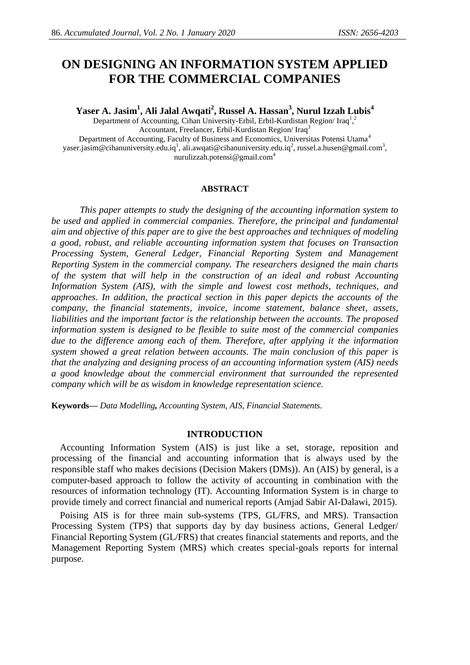# **ON DESIGNING AN INFORMATION SYSTEM APPLIED FOR THE COMMERCIAL COMPANIES**

**Yaser A. Jasim<sup>1</sup> , Ali Jalal Awqati<sup>2</sup> , Russel A. Hassan<sup>3</sup> , Nurul Izzah Lubis<sup>4</sup>**

Department of Accounting, Cihan University-Erbil, Erbil-Kurdistan Region/Iraq<sup>1</sup>,<sup>2</sup> Accountant, Freelancer, Erbil-Kurdistan Region/ Iraq<sup>3</sup> Department of Accounting, Faculty of Business and Economics, Universitas Potensi Utama<sup>4</sup> [yaser.jasim@cihanuniversity.edu.iq](mailto:yaser.jasim@cihanuniversity.edu.iq1)<sup>1</sup>, [ali.awqati@cihanuniversity.edu.iq](mailto:ali.awqati@cihanuniversity.edu.iq2)<sup>2</sup>[, russel.a.husen@gmail.com](mailto:russel.a.husen@gmail.com3)<sup>3</sup>, nurulizzah.potensi@gmail.com<sup>4</sup>

#### **ABSTRACT**

*This paper attempts to study the designing of the accounting information system to be used and applied in commercial companies. Therefore, the principal and fundamental aim and objective of this paper are to give the best approaches and techniques of modeling a good, robust, and reliable accounting information system that focuses on Transaction Processing System, General Ledger, Financial Reporting System and Management Reporting System in the commercial company. The researchers designed the main charts of the system that will help in the construction of an ideal and robust Accounting Information System (AIS), with the simple and lowest cost methods, techniques, and approaches. In addition, the practical section in this paper depicts the accounts of the company, the financial statements, invoice, income statement, balance sheet, assets, liabilities and the important factor is the relationship between the accounts. The proposed information system is designed to be flexible to suite most of the commercial companies due to the difference among each of them. Therefore, after applying it the information system showed a great relation between accounts. The main conclusion of this paper is that the analyzing and designing process of an accounting information system (AIS) needs a good knowledge about the commercial environment that surrounded the represented company which will be as wisdom in knowledge representation science.*

**Keywords—** *Data Modelling, Accounting System, AIS, Financial Statements.*

#### **INTRODUCTION**

Accounting Information System (AIS) is just like a set, storage, reposition and processing of the financial and accounting information that is always used by the responsible staff who makes decisions (Decision Makers (DMs)). An (AIS) by general, is a computer-based approach to follow the activity of accounting in combination with the resources of information technology (IT). Accounting Information System is in charge to provide timely and correct financial and numerical reports (Amjad Sabir Al-Dalawi, 2015).

Poising AIS is for three main sub-systems (TPS, GL/FRS, and MRS). Transaction Processing System (TPS) that supports day by day business actions, General Ledger/ Financial Reporting System (GL/FRS) that creates financial statements and reports, and the Management Reporting System (MRS) which creates special-goals reports for internal purpose.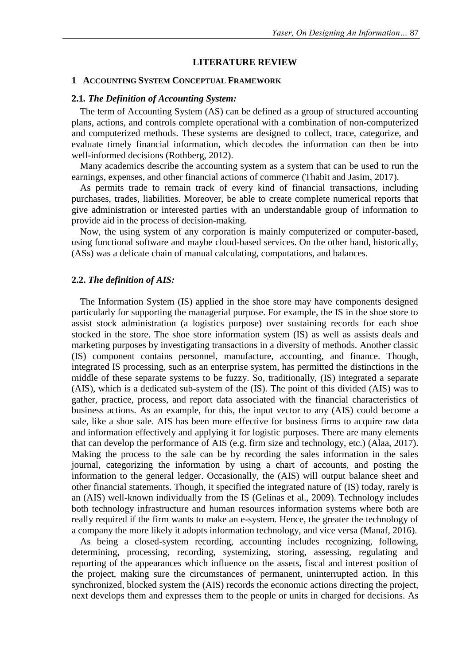### **LITERATURE REVIEW**

#### **1 ACCOUNTING SYSTEM CONCEPTUAL FRAMEWORK**

## **2.1***. The Definition of Accounting System:*

The term of Accounting System (AS) can be defined as a group of structured accounting plans, actions, and controls complete operational with a combination of non-computerized and computerized methods. These systems are designed to collect, trace, categorize, and evaluate timely financial information, which decodes the information can then be into well-informed decisions (Rothberg, 2012).

Many academics describe the accounting system as a system that can be used to run the earnings, expenses, and other financial actions of commerce (Thabit and Jasim, 2017).

As permits trade to remain track of every kind of financial transactions, including purchases, trades, liabilities. Moreover, be able to create complete numerical reports that give administration or interested parties with an understandable group of information to provide aid in the process of decision-making.

Now, the using system of any corporation is mainly computerized or computer-based, using functional software and maybe cloud-based services. On the other hand, historically, (ASs) was a delicate chain of manual calculating, computations, and balances.

## **2.2.** *The definition of AIS:*

The Information System (IS) applied in the shoe store may have components designed particularly for supporting the managerial purpose. For example, the IS in the shoe store to assist stock administration (a logistics purpose) over sustaining records for each shoe stocked in the store. The shoe store information system (IS) as well as assists deals and marketing purposes by investigating transactions in a diversity of methods. Another classic (IS) component contains personnel, manufacture, accounting, and finance. Though, integrated IS processing, such as an enterprise system, has permitted the distinctions in the middle of these separate systems to be fuzzy. So, traditionally, (IS) integrated a separate (AIS), which is a dedicated sub-system of the (IS). The point of this divided (AIS) was to gather, practice, process, and report data associated with the financial characteristics of business actions. As an example, for this, the input vector to any (AIS) could become a sale, like a shoe sale. AIS has been more effective for business firms to acquire raw data and information effectively and applying it for logistic purposes. There are many elements that can develop the performance of AIS (e.g. firm size and technology, etc.) (Alaa, 2017). Making the process to the sale can be by recording the sales information in the sales journal, categorizing the information by using a chart of accounts, and posting the information to the general ledger. Occasionally, the (AIS) will output balance sheet and other financial statements. Though, it specified the integrated nature of (IS) today, rarely is an (AIS) well-known individually from the IS (Gelinas et al., 2009). Technology includes both technology infrastructure and human resources information systems where both are really required if the firm wants to make an e-system. Hence, the greater the technology of a company the more likely it adopts information technology, and vice versa (Manaf, 2016).

As being a closed-system recording, accounting includes recognizing, following, determining, processing, recording, systemizing, storing, assessing, regulating and reporting of the appearances which influence on the assets, fiscal and interest position of the project, making sure the circumstances of permanent, uninterrupted action. In this synchronized, blocked system the (AIS) records the economic actions directing the project, next develops them and expresses them to the people or units in charged for decisions. As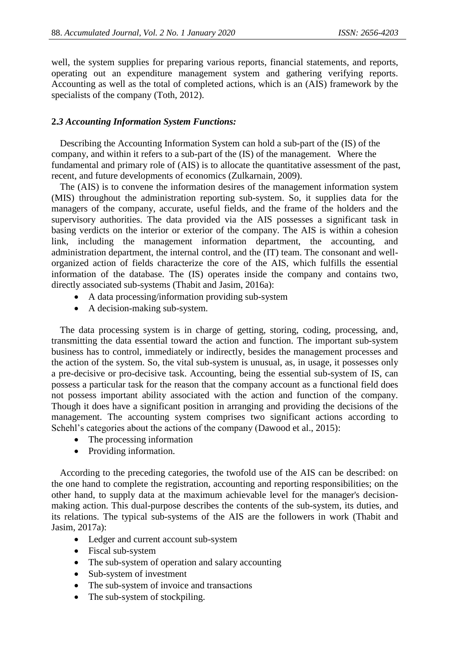well, the system supplies for preparing various reports, financial statements, and reports, operating out an expenditure management system and gathering verifying reports. Accounting as well as the total of completed actions, which is an (AIS) framework by the specialists of the company (Toth, 2012).

# **2.***3 Accounting Information System Functions:*

Describing the Accounting Information System can hold a sub-part of the (IS) of the company, and within it refers to a sub-part of the (IS) of the management. Where the fundamental and primary role of (AIS) is to allocate the quantitative assessment of the past, recent, and future developments of economics (Zulkarnain, 2009).

The (AIS) is to convene the information desires of the management information system (MIS) throughout the administration reporting sub-system. So, it supplies data for the managers of the company, accurate, useful fields, and the frame of the holders and the supervisory authorities. The data provided via the AIS possesses a significant task in basing verdicts on the interior or exterior of the company. The AIS is within a cohesion link, including the management information department, the accounting, and administration department, the internal control, and the (IT) team. The consonant and wellorganized action of fields characterize the core of the AIS, which fulfills the essential information of the database. The (IS) operates inside the company and contains two, directly associated sub-systems (Thabit and Jasim, 2016a):

- A data processing/information providing sub-system
- A decision-making sub-system.

The data processing system is in charge of getting, storing, coding, processing, and, transmitting the data essential toward the action and function. The important sub-system business has to control, immediately or indirectly, besides the management processes and the action of the system. So, the vital sub-system is unusual, as, in usage, it possesses only a pre-decisive or pro-decisive task. Accounting, being the essential sub-system of IS, can possess a particular task for the reason that the company account as a functional field does not possess important ability associated with the action and function of the company. Though it does have a significant position in arranging and providing the decisions of the management. The accounting system comprises two significant actions according to Schehl's categories about the actions of the company (Dawood et al., 2015):

- The processing information
- Providing information.

According to the preceding categories, the twofold use of the AIS can be described: on the one hand to complete the registration, accounting and reporting responsibilities; on the other hand, to supply data at the maximum achievable level for the manager's decisionmaking action. This dual-purpose describes the contents of the sub-system, its duties, and its relations. The typical sub-systems of the AIS are the followers in work (Thabit and Jasim, 2017a):

- Ledger and current account sub-system
- Fiscal sub-system
- The sub-system of operation and salary accounting
- Sub-system of investment
- The sub-system of invoice and transactions
- The sub-system of stockpiling.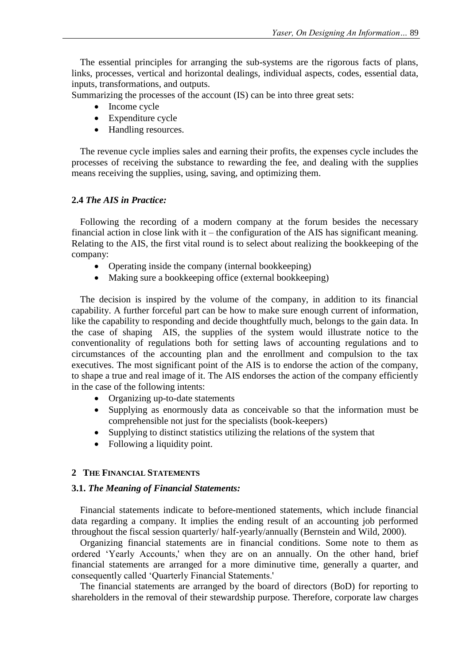The essential principles for arranging the sub-systems are the rigorous facts of plans, links, processes, vertical and horizontal dealings, individual aspects, codes, essential data, inputs, transformations, and outputs.

Summarizing the processes of the account (IS) can be into three great sets:

- Income cycle
- Expenditure cycle
- Handling resources.

The revenue cycle implies sales and earning their profits, the expenses cycle includes the processes of receiving the substance to rewarding the fee, and dealing with the supplies means receiving the supplies, using, saving, and optimizing them.

## **2.4** *The AIS in Practice:*

Following the recording of a modern company at the forum besides the necessary financial action in close link with it – the configuration of the AIS has significant meaning. Relating to the AIS, the first vital round is to select about realizing the bookkeeping of the company:

- Operating inside the company (internal bookkeeping)
- Making sure a bookkeeping office (external bookkeeping)

The decision is inspired by the volume of the company, in addition to its financial capability. A further forceful part can be how to make sure enough current of information, like the capability to responding and decide thoughtfully much, belongs to the gain data. In the case of shaping AIS, the supplies of the system would illustrate notice to the conventionality of regulations both for setting laws of accounting regulations and to circumstances of the accounting plan and the enrollment and compulsion to the tax executives. The most significant point of the AIS is to endorse the action of the company, to shape a true and real image of it. The AIS endorses the action of the company efficiently in the case of the following intents:

- Organizing up-to-date statements
- Supplying as enormously data as conceivable so that the information must be comprehensible not just for the specialists (book-keepers)
- Supplying to distinct statistics utilizing the relations of the system that
- Following a liquidity point.

# **2 THE FINANCIAL STATEMENTS**

## **3.1.** *The Meaning of Financial Statements:*

Financial statements indicate to before-mentioned statements, which include financial data regarding a company. It implies the ending result of an accounting job performed throughout the fiscal session quarterly/ half-yearly/annually (Bernstein and Wild, 2000).

Organizing financial statements are in financial conditions. Some note to them as ordered 'Yearly Accounts,' when they are on an annually. On the other hand, brief financial statements are arranged for a more diminutive time, generally a quarter, and consequently called 'Quarterly Financial Statements.'

The financial statements are arranged by the board of directors (BoD) for reporting to shareholders in the removal of their stewardship purpose. Therefore, corporate law charges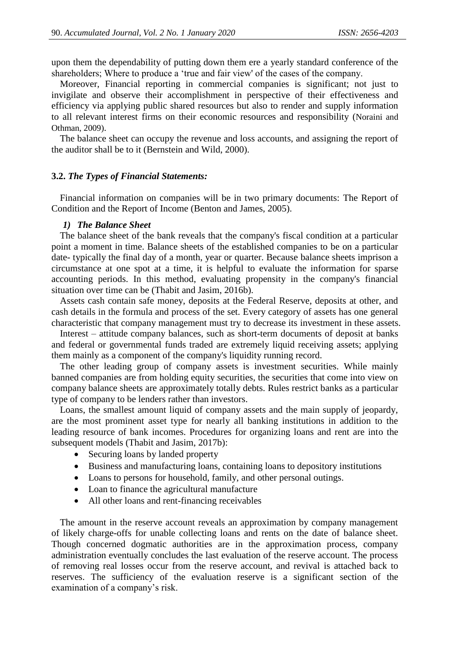upon them the dependability of putting down them ere a yearly standard conference of the shareholders; Where to produce a 'true and fair view' of the cases of the company.

Moreover, Financial reporting in commercial companies is significant; not just to invigilate and observe their accomplishment in perspective of their effectiveness and efficiency via applying public shared resources but also to render and supply information to all relevant interest firms on their economic resources and responsibility (Noraini and Othman, 2009).

The balance sheet can occupy the revenue and loss accounts, and assigning the report of the auditor shall be to it (Bernstein and Wild, 2000).

## **3.2.** *The Types of Financial Statements:*

Financial information on companies will be in two primary documents: The Report of Condition and the Report of Income (Benton and James, 2005).

#### *1) The Balance Sheet*

The balance sheet of the bank reveals that the company's fiscal condition at a particular point a moment in time. Balance sheets of the established companies to be on a particular date- typically the final day of a month, year or quarter. Because balance sheets imprison a circumstance at one spot at a time, it is helpful to evaluate the information for sparse accounting periods. In this method, evaluating propensity in the company's financial situation over time can be (Thabit and Jasim, 2016b).

Assets cash contain safe money, deposits at the Federal Reserve, deposits at other, and cash details in the formula and process of the set. Every category of assets has one general characteristic that company management must try to decrease its investment in these assets.

Interest – attitude company balances, such as short-term documents of deposit at banks and federal or governmental funds traded are extremely liquid receiving assets; applying them mainly as a component of the company's liquidity running record.

The other leading group of company assets is investment securities. While mainly banned companies are from holding equity securities, the securities that come into view on company balance sheets are approximately totally debts. Rules restrict banks as a particular type of company to be lenders rather than investors.

Loans, the smallest amount liquid of company assets and the main supply of jeopardy, are the most prominent asset type for nearly all banking institutions in addition to the leading resource of bank incomes. Procedures for organizing loans and rent are into the subsequent models (Thabit and Jasim, 2017b):

- Securing loans by landed property
- Business and manufacturing loans, containing loans to depository institutions
- Loans to persons for household, family, and other personal outings.
- Loan to finance the agricultural manufacture
- All other loans and rent-financing receivables

The amount in the reserve account reveals an approximation by company management of likely charge-offs for unable collecting loans and rents on the date of balance sheet. Though concerned dogmatic authorities are in the approximation process, company administration eventually concludes the last evaluation of the reserve account. The process of removing real losses occur from the reserve account, and revival is attached back to reserves. The sufficiency of the evaluation reserve is a significant section of the examination of a company's risk.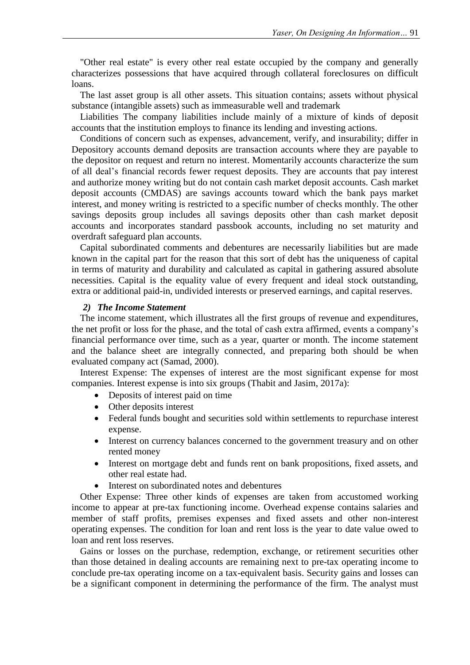"Other real estate" is every other real estate occupied by the company and generally characterizes possessions that have acquired through collateral foreclosures on difficult loans.

The last asset group is all other assets. This situation contains; assets without physical substance (intangible assets) such as immeasurable well and trademark

Liabilities The company liabilities include mainly of a mixture of kinds of deposit accounts that the institution employs to finance its lending and investing actions.

Conditions of concern such as expenses, advancement, verify, and insurability; differ in Depository accounts demand deposits are transaction accounts where they are payable to the depositor on request and return no interest. Momentarily accounts characterize the sum of all deal's financial records fewer request deposits. They are accounts that pay interest and authorize money writing but do not contain cash market deposit accounts. Cash market deposit accounts (CMDAS) are savings accounts toward which the bank pays market interest, and money writing is restricted to a specific number of checks monthly. The other savings deposits group includes all savings deposits other than cash market deposit accounts and incorporates standard passbook accounts, including no set maturity and overdraft safeguard plan accounts.

Capital subordinated comments and debentures are necessarily liabilities but are made known in the capital part for the reason that this sort of debt has the uniqueness of capital in terms of maturity and durability and calculated as capital in gathering assured absolute necessities. Capital is the equality value of every frequent and ideal stock outstanding, extra or additional paid-in, undivided interests or preserved earnings, and capital reserves.

# *2) The Income Statement*

The income statement, which illustrates all the first groups of revenue and expenditures, the net profit or loss for the phase, and the total of cash extra affirmed, events a company's financial performance over time, such as a year, quarter or month. The income statement and the balance sheet are integrally connected, and preparing both should be when evaluated company act (Samad, 2000).

Interest Expense: The expenses of interest are the most significant expense for most companies. Interest expense is into six groups (Thabit and Jasim, 2017a):

- Deposits of interest paid on time
- Other deposits interest
- Federal funds bought and securities sold within settlements to repurchase interest expense.
- Interest on currency balances concerned to the government treasury and on other rented money
- Interest on mortgage debt and funds rent on bank propositions, fixed assets, and other real estate had.
- Interest on subordinated notes and debentures

Other Expense: Three other kinds of expenses are taken from accustomed working income to appear at pre-tax functioning income. Overhead expense contains salaries and member of staff profits, premises expenses and fixed assets and other non-interest operating expenses. The condition for loan and rent loss is the year to date value owed to loan and rent loss reserves.

Gains or losses on the purchase, redemption, exchange, or retirement securities other than those detained in dealing accounts are remaining next to pre-tax operating income to conclude pre-tax operating income on a tax-equivalent basis. Security gains and losses can be a significant component in determining the performance of the firm. The analyst must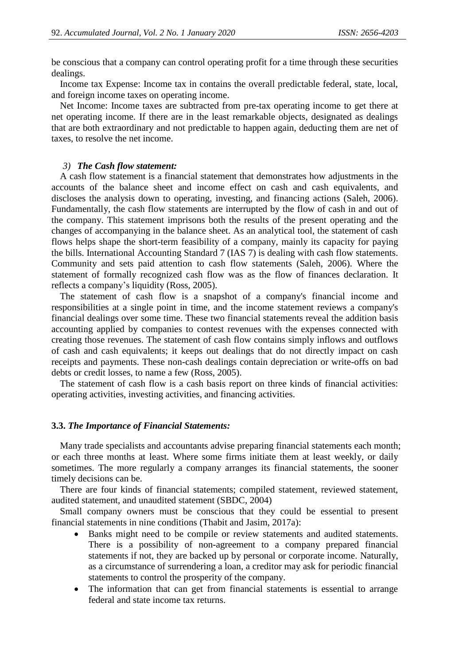be conscious that a company can control operating profit for a time through these securities dealings.

Income tax Expense: Income tax in contains the overall predictable federal, state, local, and foreign income taxes on operating income.

Net Income: Income taxes are subtracted from pre-tax operating income to get there at net operating income. If there are in the least remarkable objects, designated as dealings that are both extraordinary and not predictable to happen again, deducting them are net of taxes, to resolve the net income.

## *3) The Cash flow statement:*

A cash flow statement is a financial statement that demonstrates how adjustments in the accounts of the balance sheet and income effect on cash and cash equivalents, and discloses the analysis down to operating, investing, and financing actions (Saleh, 2006). Fundamentally, the cash flow statements are interrupted by the flow of cash in and out of the company. This statement imprisons both the results of the present operating and the changes of accompanying in the balance sheet. As an analytical tool, the statement of cash flows helps shape the short-term feasibility of a company, mainly its capacity for paying the bills. International Accounting Standard 7 (IAS 7) is dealing with cash flow statements. Community and sets paid attention to cash flow statements (Saleh, 2006). Where the statement of formally recognized cash flow was as the flow of finances declaration. It reflects a company's liquidity (Ross, 2005).

The statement of cash flow is a snapshot of a company's financial income and responsibilities at a single point in time, and the income statement reviews a company's financial dealings over some time. These two financial statements reveal the addition basis accounting applied by companies to contest revenues with the expenses connected with creating those revenues. The statement of cash flow contains simply inflows and outflows of cash and cash equivalents; it keeps out dealings that do not directly impact on cash receipts and payments. These non-cash dealings contain depreciation or write-offs on bad debts or credit losses, to name a few (Ross, 2005).

The statement of cash flow is a [cash basis r](https://en.wikipedia.org/wiki/Accounting_methods#Cash_basis)eport on three kinds of financial activities: operating activities, investing activities, and financing activities.

#### **3.3.** *The Importance of Financial Statements:*

Many trade specialists and accountants advise preparing financial statements each month; or each three months at least. Where some firms initiate them at least weekly, or daily sometimes. The more regularly a company arranges its financial statements, the sooner timely decisions can be.

There are four kinds of financial statements; compiled statement, reviewed statement, audited statement, and unaudited statement (SBDC, 2004)

Small company owners must be conscious that they could be essential to present financial statements in nine conditions (Thabit and Jasim, 2017a):

- Banks might need to be compile or review statements and audited statements. There is a possibility of non-agreement to a company prepared financial statements if not, they are backed up by personal or corporate income. Naturally, as a circumstance of surrendering a loan, a creditor may ask for periodic financial statements to control the prosperity of the company.
- The information that can get from financial statements is essential to arrange federal and state income tax returns.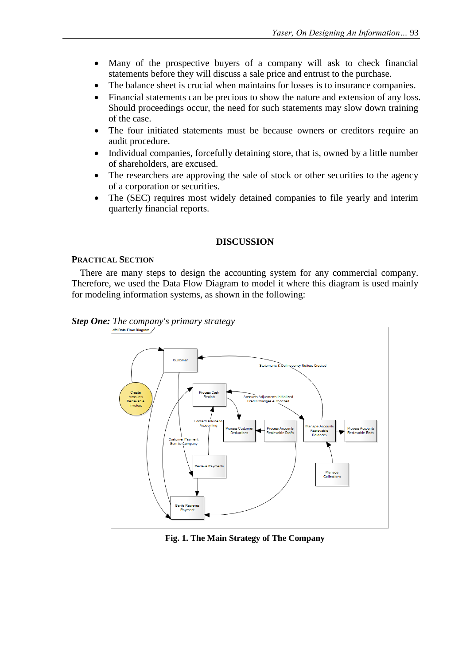- Many of the prospective buyers of a company will ask to check financial statements before they will discuss a sale price and entrust to the purchase.
- The balance sheet is crucial when maintains for losses is to insurance companies.
- Financial statements can be precious to show the nature and extension of any loss. Should proceedings occur, the need for such statements may slow down training of the case.
- The four initiated statements must be because owners or creditors require an audit procedure.
- Individual companies, forcefully detaining store, that is, owned by a little number of shareholders, are excused.
- The researchers are approving the sale of stock or other securities to the agency of a corporation or securities.
- The (SEC) requires most widely detained companies to file yearly and interim quarterly financial reports.

# **DISCUSSION**

## **PRACTICAL SECTION**

There are many steps to design the accounting system for any commercial company. Therefore, we used the Data Flow Diagram to model it where this diagram is used mainly for modeling information systems, as shown in the following:





## **Fig. 1. The Main Strategy of The Company**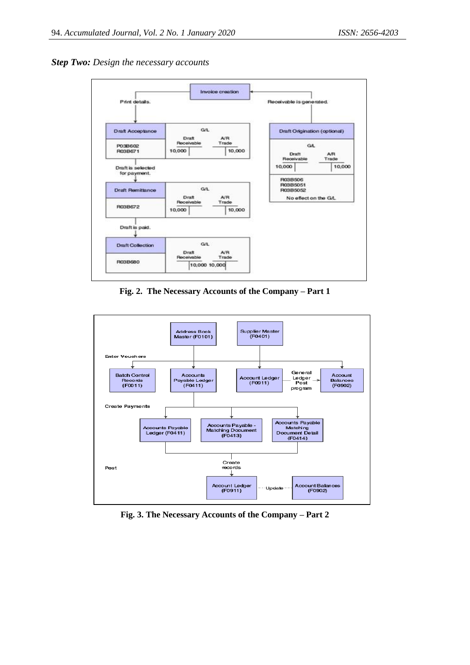



**Fig. 2. The Necessary Accounts of the Company – Part 1**



**Fig. 3. The Necessary Accounts of the Company – Part 2**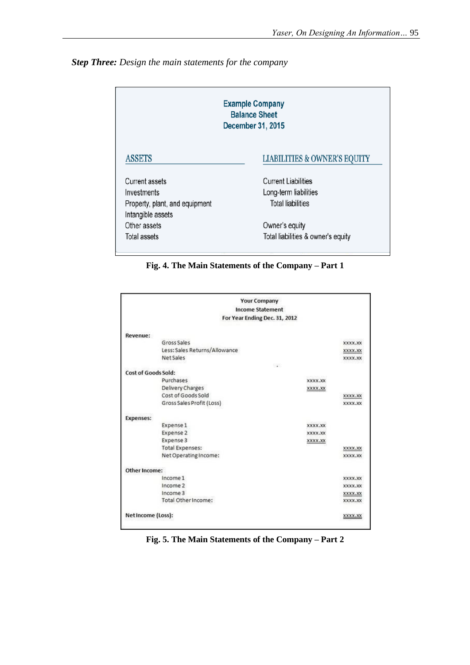

| <b>Example Company</b><br><b>Balance Sheet</b><br>December 31, 2015 |                                         |  |
|---------------------------------------------------------------------|-----------------------------------------|--|
| <b>ASSETS</b>                                                       | <b>LIABILITIES &amp; OWNER'S EQUITY</b> |  |
| <b>Current assets</b>                                               | <b>Current Liabilities</b>              |  |
| Investments                                                         | Long-term liabilities                   |  |
| Property, plant, and equipment<br>Intangible assets                 | <b>Total liabilities</b>                |  |
| Other assets                                                        | Owner's equity                          |  |
| Total assets                                                        | Total liabilities & owner's equity      |  |

**Fig. 4. The Main Statements of the Company – Part 1**

|                               | <b>Your Company</b>           |         |         |
|-------------------------------|-------------------------------|---------|---------|
|                               | <b>Income Statement</b>       |         |         |
|                               | For Year Ending Dec. 31, 2012 |         |         |
|                               |                               |         |         |
| Revenue:                      |                               |         |         |
| Gross Sales                   |                               |         | XXXX.XX |
| Less: Sales Returns/Allowance |                               |         | XXXX.XX |
|                               | <b>Net Sales</b>              |         | XXXX.XX |
|                               |                               | $-40.7$ |         |
| Cost of Goods Sold:           |                               |         |         |
|                               | Purchases                     | XXXX.XX |         |
|                               | Delivery Charges              | XXXX.XX |         |
|                               | Cost of Goods Sold            |         | XXXX.XX |
|                               | Gross Sales Profit (Loss)     |         | XXXX.XX |
| <b>Expenses:</b>              |                               |         |         |
|                               | Expense 1                     | XXXX.XX |         |
|                               | Expense 2                     | XXXX.XX |         |
|                               | Expense 3                     | XXXX.XX |         |
|                               | <b>Total Expenses:</b>        |         | XXXX.XX |
|                               | Net Operating Income:         |         | XXXX.XX |
| Other Income:                 |                               |         |         |
|                               | Income 1                      |         | XXXX.XX |
|                               | Income 2                      |         | XXXX.XX |
|                               | Income 3                      |         | XXXX.XX |
|                               | Total Other Income:           |         | XXXX.XX |
| Net Income (Loss):            |                               |         | XXXX.XX |

**Fig. 5. The Main Statements of the Company – Part 2**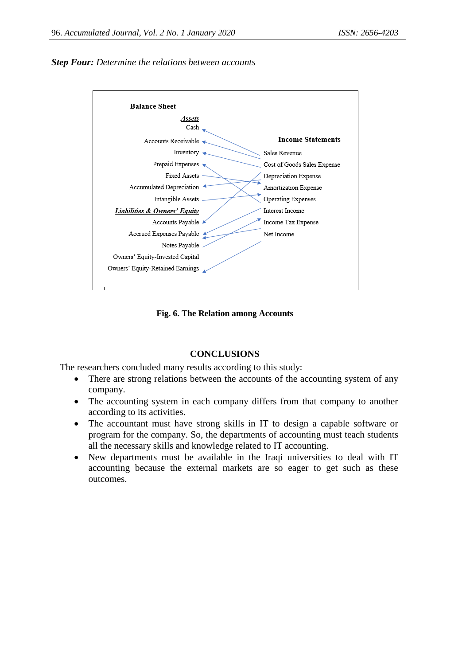



**Fig. 6. The Relation among Accounts**

# **CONCLUSIONS**

The researchers concluded many results according to this study:

- There are strong relations between the accounts of the accounting system of any company.
- The accounting system in each company differs from that company to another according to its activities.
- The accountant must have strong skills in IT to design a capable software or program for the company. So, the departments of accounting must teach students all the necessary skills and knowledge related to IT accounting.
- New departments must be available in the Iraqi universities to deal with IT accounting because the external markets are so eager to get such as these outcomes.